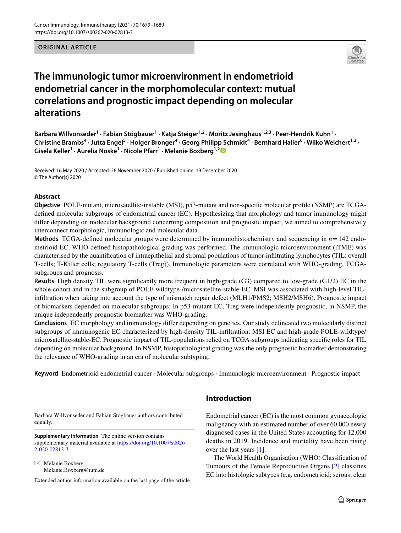**ORIGINAL ARTICLE**



# **The immunologic tumor microenvironment in endometrioid endometrial cancer in the morphomolecular context: mutual correlations and prognostic impact depending on molecular alterations**

Barbara Willvonseder<sup>1</sup> · Fabian Stögbauer<sup>1</sup> · Katja Steiger<sup>1,2</sup> · Moritz Jesinghaus<sup>1,2,3</sup> · Peer-Hendrik Kuhn<sup>1</sup> · Christine Brambs<sup>4</sup> · Jutta Engel<sup>5</sup> · Holger Bronger<sup>4</sup> · Georg Philipp Schmidt<sup>4</sup> · Bernhard Haller<sup>6</sup> · Wilko Weichert<sup>1,2</sup> · **Gisela Keller<sup>1</sup> · Aurelia Noske1 · Nicole Pfarr1 · Melanie Boxberg1,[2](http://orcid.org/0000-0001-5989-7922)**

Received: 16 May 2020 / Accepted: 26 November 2020 / Published online: 19 December 2020 © The Author(s) 2020

## **Abstract**

**Objective** POLE-mutant, microsatellite-instable (MSI), p53-mutant and non-specifc molecular profle (NSMP) are TCGAdefned molecular subgroups of endometrial cancer (EC). Hypothesizing that morphology and tumor immunology might differ depending on molecular background concerning composition and prognostic impact, we aimed to comprehensively interconnect morphologic, immunologic and molecular data.

**Methods** TCGA-defned molecular groups were determined by immunohistochemistry and sequencing in *n*=142 endometrioid EC. WHO-defned histopathological grading was performed. The immunologic microenvironment (iTME) was characterised by the quantifcation of intraepithelial and stromal populations of tumor-infltrating lymphocytes (TIL: overall T-cells; T-Killer cells; regulatory T-cells (Treg)). Immunologic parameters were correlated with WHO-grading, TCGAsubgroups and prognosis.

**Results** High density TIL were signifcantly more frequent in high-grade (G3) compared to low-grade (G1/2) EC in the whole cohort and in the subgroup of POLE-wildtype-/microsatellite-stable-EC. MSI was associated with high-level TILinfltration when taking into account the type of mismatch repair defect (MLH1/PMS2; MSH2/MSH6). Prognostic impact of biomarkers depended on molecular subgroups: In p53-mutant EC, Treg were independently prognostic, in NSMP, the unique independently prognostic biomarker was WHO-grading.

**Conclusions** EC morphology and immunology difer depending on genetics. Our study delineated two molecularly distinct subgroups of immunogenic EC characterized by high-density TIL-infltration: MSI EC and high-grade POLE-wildtype/ microsatellite-stable-EC. Prognostic impact of TIL-populations relied on TCGA-subgroups indicating specifc roles for TIL depending on molecular background. In NSMP, histopathological grading was the only prognostic biomarker demonstrating the relevance of WHO-grading in an era of molecular subtyping.

**Keyword** Endometrioid endometrial cancer · Molecular subgroups · Immunologic microenvironment · Prognostic impact

Barbara Willvonseder and Fabian Stögbauer authors contributed equally.

**Supplementary Information** The online version contains supplementary material available at [https://doi.org/10.1007/s0026](https://doi.org/10.1007/s00262-020-02813-3) [2-020-02813-3](https://doi.org/10.1007/s00262-020-02813-3).

 $\boxtimes$  Melanie Boxberg Melanie.Boxberg@tum.de

Extended author information available on the last page of the article

# **Introduction**

Endometrial cancer (EC) is the most common gynaecologic malignancy with an estimated number of over 60.000 newly diagnosed cases in the United States accounting for 12.000 deaths in 2019. Incidence and mortality have been rising over the last years [\[1](#page-9-0)].

The World Health Organisation (WHO) Classifcation of Tumours of the Female Reproductive Organs [\[2](#page-9-1)] classifes EC into histologic subtypes (e.g. endometrioid; serous; clear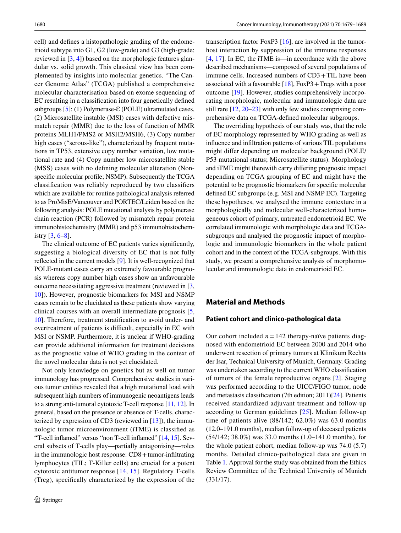cell) and defnes a histopathologic grading of the endometrioid subtype into G1, G2 (low-grade) and G3 (high-grade; reviewed in [\[3](#page-9-2), [4](#page-9-3)]) based on the morphologic features glandular vs. solid growth. This classical view has been complemented by insights into molecular genetics. "The Cancer Genome Atlas" (TCGA) published a comprehensive molecular characterisation based on exome sequencing of EC resulting in a classifcation into four genetically defned subgroups  $[5]$ : (1) Polymerase- $\mathcal{E}$  (POLE) ultramutated cases, (2) Microsatellite instable (MSI) cases with defective mismatch repair (MMR) due to the loss of function of MMR proteins MLH1/PMS2 or MSH2/MSH6, (3) Copy number high cases ("serous-like"), characterized by frequent mutations in TP53, extensive copy number variation, low mutational rate and (4) Copy number low microsatellite stable (MSS) cases with no defning molecular alteration (Nonspecifc molecular profle; NSMP). Subsequently the TCGA classifcation was reliably reproduced by two classifers which are available for routine pathological analysis referred to as ProMisE/Vancouver and PORTEC/Leiden based on the following analysis: POLE mutational analysis by polymerase chain reaction (PCR) followed by mismatch repair protein immunohistochemistry (MMR) and p53 immunohistochemistry  $[3, 6-8]$  $[3, 6-8]$  $[3, 6-8]$  $[3, 6-8]$  $[3, 6-8]$ .

The clinical outcome of EC patients varies signifcantly, suggesting a biological diversity of EC that is not fully refected in the current models [\[9](#page-9-7)]. It is well-recognized that POLE-mutant cases carry an extremely favourable prognosis whereas copy number high cases show an unfavourable outcome necessitating aggressive treatment (reviewed in [[3,](#page-9-2) [10](#page-9-8)]). However, prognostic biomarkers for MSI and NSMP cases remain to be elucidated as these patients show varying clinical courses with an overall intermediate prognosis [[5,](#page-9-4) [10](#page-9-8)]. Therefore, treatment stratifcation to avoid under- and overtreatment of patients is difficult, especially in EC with MSI or NSMP. Furthermore, it is unclear if WHO-grading can provide additional information for treatment decisions as the prognostic value of WHO grading in the context of the novel molecular data is not yet elucidated.

Not only knowledge on genetics but as well on tumor immunology has progressed. Comprehensive studies in various tumor entities revealed that a high mutational load with subsequent high numbers of immunogenic neoantigens leads to a strong anti-tumoral cytotoxic T-cell response [[11](#page-9-9), [12\]](#page-9-10). In general, based on the presence or absence of T-cells, characterized by expression of CD3 (reviewed in  $[13]$  $[13]$  $[13]$ ), the immunologic tumor microenvironment (iTME) is classifed as "T-cell infamed" versus "non T-cell infamed" [\[14](#page-9-12), [15\]](#page-9-13). Several subsets of T-cells play—partially antagonising—roles in the immunologic host response: CD8 + tumor-infiltrating lymphocytes (TIL; T-Killer cells) are crucial for a potent cytotoxic antitumor response [\[14,](#page-9-12) [15](#page-9-13)]. Regulatory T-cells (Treg), specifcally characterized by the expression of the transcription factor FoxP3 [\[16](#page-9-14)], are involved in the tumorhost interaction by suppression of the immune responses [[4,](#page-9-3) [17\]](#page-9-15). In EC, the iTME is—in accordance with the above described mechanisms—composed of several populations of immune cells. Increased numbers of CD3+TIL have been associated with a favourable  $[18]$  $[18]$ , FoxP3 + Tregs with a poor outcome [\[19](#page-9-17)]. However, studies comprehensively incorporating morphologic, molecular and immunologic data are still rare [\[12](#page-9-10), [20](#page-9-18)[–23](#page-9-19)] with only few studies comprising comprehensive data on TCGA-defned molecular subgroups.

The overriding hypothesis of our study was, that the role of EC morphology represented by WHO grading as well as infuence and infltration patterns of various TIL populations might difer depending on molecular background (POLE/ P53 mutational status; Microsatellite status). Morphology and iTME might therewith carry difering prognostic impact depending on TCGA grouping of EC and might have the potential to be prognostic biomarkers for specifc molecular defned EC subgroups (e.g. MSI and NSMP EC). Targeting these hypotheses, we analysed the immune contexture in a morphologically and molecular well-characterized homogeneous cohort of primary, untreated endometrioid EC. We correlated immunologic with morphologic data and TCGAsubgroups and analysed the prognostic impact of morphologic and immunologic biomarkers in the whole patient cohort and in the context of the TCGA-subgroups. With this study, we present a comprehensive analysis of morphomolecular and immunologic data in endometrioid EC.

## **Material and Methods**

## **Patient cohort and clinico‑pathological data**

Our cohort included  $n = 142$  therapy-naïve patients diagnosed with endometrioid EC between 2000 and 2014 who underwent resection of primary tumors at Klinikum Rechts der Isar, Technical University of Munich, Germany. Grading was undertaken according to the current WHO classifcation of tumors of the female reproductive organs [\[2](#page-9-1)]. Staging was performed according to the UICC/FIGO tumor, node and metastasis classifcation (7th edition; 2011)[\[24](#page-9-20)]. Patients received standardized adjuvant treatment and follow-up according to German guidelines [[25](#page-9-21)]. Median follow-up time of patients alive (88/142; 62.0%) was 63.0 months (12.0–191.0 months), median follow-up of deceased patients (54/142; 38.0%) was 33.0 months (1.0–141.0 months), for the whole patient cohort, median follow-up was 74.0 (5.7) months. Detailed clinico-pathological data are given in Table [1](#page-2-0). Approval for the study was obtained from the Ethics Review Committee of the Technical University of Munich (331/17).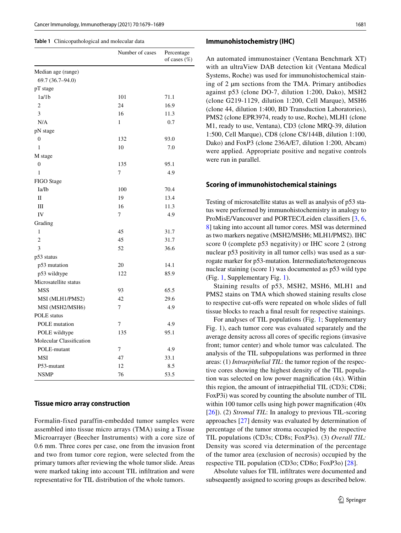#### <span id="page-2-0"></span>**Table 1** Clinicopathological and molecular data

|                          | Number of cases | Percentage<br>of cases (%) |
|--------------------------|-----------------|----------------------------|
| Median age (range)       |                 |                            |
| 69.7 (36.7-94.0)         |                 |                            |
| pT stage                 |                 |                            |
| 1a/1b                    | 101             | 71.1                       |
| $\overline{c}$           | 24              | 16.9                       |
| 3                        | 16              | 11.3                       |
| N/A                      | 1               | 0.7                        |
| pN stage                 |                 |                            |
| $\boldsymbol{0}$         | 132             | 93.0                       |
| $\mathbf{1}$             | 10              | 7.0                        |
| M stage                  |                 |                            |
| $\overline{0}$           | 135             | 95.1                       |
| 1                        | 7               | 4.9                        |
| FIGO Stage               |                 |                            |
| Ia/Ib                    | 100             | 70.4                       |
| $\mathbf{I}$             | 19              | 13.4                       |
| Ш                        | 16              | 11.3                       |
| IV                       | $\overline{7}$  | 4.9                        |
| Grading                  |                 |                            |
| $\mathbf{1}$             | 45              | 31.7                       |
| $\overline{2}$           | 45              | 31.7                       |
| 3                        | 52              | 36.6                       |
| p53 status               |                 |                            |
| p53 mutation             | 20              | 14.1                       |
| p53 wildtype             | 122             | 85.9                       |
| Microsatellite status    |                 |                            |
| <b>MSS</b>               | 93              | 65.5                       |
| MSI (MLH1/PMS2)          | 42              | 29.6                       |
| MSI (MSH2/MSH6)          | $\overline{7}$  | 4.9                        |
| <b>POLE</b> status       |                 |                            |
| POLE mutation            | 7               | 4.9                        |
| POLE wildtype            | 135             | 95.1                       |
| Molecular Classification |                 |                            |
| POLE-mutant              | 7               | 4.9                        |
| <b>MSI</b>               | 47              | 33.1                       |
| P53-mutant               | 12              | 8.5                        |
| <b>NSMP</b>              | 76              | 53.5                       |

#### **Tissue micro array construction**

Formalin-fixed paraffin-embedded tumor samples were assembled into tissue micro arrays (TMA) using a Tissue Microarrayer (Beecher Instruments) with a core size of 0.6 mm. Three cores per case, one from the invasion front and two from tumor core region, were selected from the primary tumors after reviewing the whole tumor slide. Areas were marked taking into account TIL infltration and were representative for TIL distribution of the whole tumors.

#### **Immunohistochemistry (IHC)**

An automated immunostainer (Ventana Benchmark XT) with an ultraView DAB detection kit (Ventana Medical Systems, Roche) was used for immunohistochemical staining of 2 µm sections from the TMA. Primary antibodies against p53 (clone DO-7, dilution 1:200, Dako), MSH2 (clone G219-1129, dilution 1:200, Cell Marque), MSH6 (clone 44, dilution 1:400, BD Transduction Laboratories), PMS2 (clone EPR3974, ready to use, Roche), MLH1 (clone M1, ready to use, Ventana), CD3 (clone MRQ-39, dilution 1:500, Cell Marque), CD8 (clone C8/144B, dilution 1:100, Dako) and FoxP3 (clone 236A/E7, dilution 1:200, Abcam) were applied. Appropriate positive and negative controls were run in parallel.

#### **Scoring of immunohistochemical stainings**

Testing of microsatellite status as well as analysis of p53 status were performed by immunohistochemistry in analogy to ProMisE/Vancouver and PORTEC/Leiden classifers [\[3](#page-9-2), [6,](#page-9-5) [8](#page-9-6)] taking into account all tumor cores. MSI was determined as two markers negative (MSH2/MSH6; MLH1/PMS2). IHC score 0 (complete p53 negativity) or IHC score 2 (strong nuclear p53 positivity in all tumor cells) was used as a surrogate marker for p53-mutation. Intermediate/heterogeneous nuclear staining (score 1) was documented as p53 wild type (Fig. [1,](#page-3-0) Supplementary Fig. [1](#page-3-0)).

Staining results of p53, MSH2, MSH6, MLH1 and PMS2 stains on TMA which showed staining results close to respective cut-ofs were repeated on whole slides of full tissue blocks to reach a fnal result for respective stainings.

For analyses of TIL populations (Fig. [1](#page-3-0); Supplementary Fig. 1), each tumor core was evaluated separately and the average density across all cores of specifc regions (invasive front; tumor center) and whole tumor was calculated. The analysis of the TIL subpopulations was performed in three areas: (1) *Intraepithelial TIL*: the tumor region of the respective cores showing the highest density of the TIL population was selected on low power magnifcation (4x). Within this region, the amount of intraepithelial TIL (CD3i; CD8i; FoxP3i) was scored by counting the absolute number of TIL within 100 tumor cells using high power magnification (40x) [[26\]](#page-9-22)). (2) *Stromal TIL*: In analogy to previous TIL-scoring approaches [\[27\]](#page-9-23) density was evaluated by determination of percentage of the tumor stroma occupied by the respective TIL populations (CD3s; CD8s; FoxP3s). (3) *Overall TIL:* Density was scored via determination of the percentage of the tumor area (exclusion of necrosis) occupied by the respective TIL population (CD3o; CD8o; FoxP3o) [[28\]](#page-9-24).

Absolute values for TIL infltrates were documented and subsequently assigned to scoring groups as described below.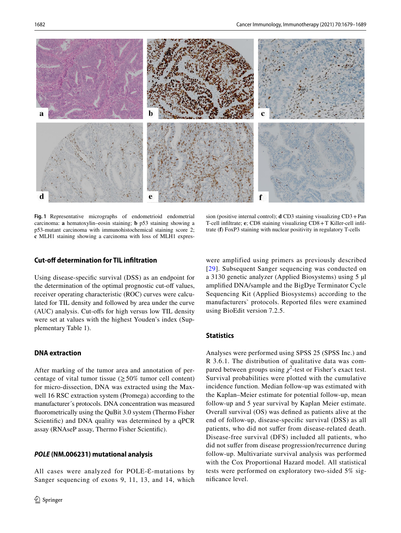

**Fig. 1** Representative micrographs of endometrioid endometrial carcinoma: **a** hematoxylin–eosin staining; **b** p53 staining showing a p53-mutant carcinoma with immunohistochemical staining score 2; **c** MLH1 staining showing a carcinoma with loss of MLH1 expres-

sion (positive internal control); **d** CD3 staining visualizing CD3+Pan T-cell infltrate; **e**; CD8 staining visualizing CD8+T Killer-cell infltrate (**f**) FoxP3 staining with nuclear positivity in regulatory T-cells

## <span id="page-3-0"></span>**Cut‑of determination for TIL infltration**

Using disease-specifc survival (DSS) as an endpoint for the determination of the optimal prognostic cut-off values, receiver operating characteristic (ROC) curves were calculated for TIL density and followed by area under the curve (AUC) analysis. Cut-ofs for high versus low TIL density were set at values with the highest Youden's index (Supplementary Table 1).

## **DNA extraction**

After marking of the tumor area and annotation of percentage of vital tumor tissue ( $\geq$  50% tumor cell content) for micro-dissection, DNA was extracted using the Maxwell 16 RSC extraction system (Promega) according to the manufacturer´s protocols. DNA concentration was measured fuorometrically using the QuBit 3.0 system (Thermo Fisher Scientifc) and DNA quality was determined by a qPCR assay (RNAseP assay, Thermo Fisher Scientifc).

#### *POLE* **(NM.006231) mutational analysis**

All cases were analyzed for POLE- $\varepsilon$ -mutations by Sanger sequencing of exons 9, 11, 13, and 14, which were amplified using primers as previously described [[29](#page-9-25)]. Subsequent Sanger sequencing was conducted on a 3130 genetic analyzer (Applied Biosystems) using 5 µl amplifed DNA/sample and the BigDye Terminator Cycle Sequencing Kit (Applied Biosystems) according to the manufacturers` protocols. Reported fles were examined using BioEdit version 7.2.5.

## **Statistics**

Analyses were performed using SPSS 25 (SPSS Inc.) and R 3.6.1. The distribution of qualitative data was compared between groups using  $\chi^2$ -test or Fisher's exact test. Survival probabilities were plotted with the cumulative incidence function. Median follow-up was estimated with the Kaplan–Meier estimate for potential follow-up, mean follow-up and 5 year survival by Kaplan Meier estimate. Overall survival (OS) was defned as patients alive at the end of follow-up, disease-specifc survival (DSS) as all patients, who did not sufer from disease-related death. Disease-free survival (DFS) included all patients, who did not sufer from disease progression/recurrence during follow-up. Multivariate survival analysis was performed with the Cox Proportional Hazard model. All statistical tests were performed on exploratory two-sided 5% signifcance level.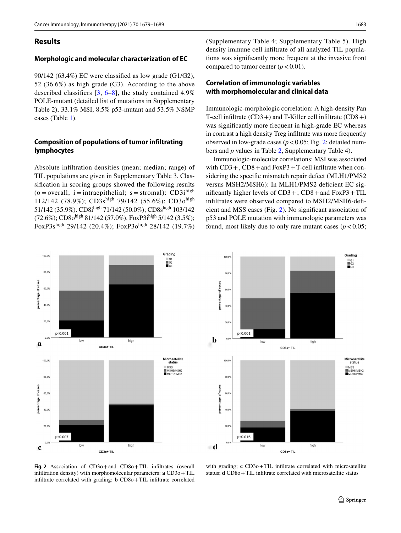## **Results**

## **Morphologic and molecular characterization of EC**

90/142 (63.4%) EC were classifed as low grade (G1/G2), 52 (36.6%) as high grade (G3). According to the above described classifers [[3](#page-9-2), [6–](#page-9-5)[8](#page-9-6)], the study contained 4.9% POLE-mutant (detailed list of mutations in Supplementary Table 2), 33.1% MSI, 8.5% p53-mutant and 53.5% NSMP cases (Table [1](#page-2-0)).

# **Composition of populations of tumor infltrating lymphocytes**

Absolute infltration densities (mean; median; range) of TIL populations are given in Supplementary Table 3. Classifcation in scoring groups showed the following results  $(o = overall; i = intraepithelial; s = stromal): CD3i<sup>high</sup>$ 112/142 (78.9%); CD3shigh 79/142 (55.6%); CD3ohigh 51/142 (35.9%). CD8ihigh 71/142 (50.0%); CD8shigh 103/142 (72.6%); CD80<sup>high</sup> 81/142 (57.0%). FoxP3i<sup>high</sup> 5/142 (3.5%); FoxP3shigh 29/142 (20.4%); FoxP3ohigh 28/142 (19.7%) (Supplementary Table 4; Supplementary Table 5). High density immune cell infltrate of all analyzed TIL populations was signifcantly more frequent at the invasive front compared to tumor center  $(p < 0.01)$ .

## **Correlation of immunologic variables with morphomolecular and clinical data**

Immunologic-morphologic correlation: A high-density Pan T-cell infltrate (CD3+) and T-Killer cell infltrate (CD8+) was signifcantly more frequent in high-grade EC whereas in contrast a high density Treg infltrate was more frequently observed in low-grade cases ( $p < 0.05$ ; Fig. [2](#page-4-0); detailed numbers and *p* values in Table [2](#page-5-0), Supplementary Table 4).

Immunologic-molecular correlations: MSI was associated with  $CD3 +$ ,  $CD8 +$  and  $FoxP3 + T$ -cell infiltrate when considering the specifc mismatch repair defect (MLH1/PMS2 versus MSH2/MSH6): In MLH1/PMS2 defcient EC significantly higher levels of  $CD3+$ ;  $CD8+$  and  $FoxP3+TIL$ infltrates were observed compared to MSH2/MSH6-defcient and MSS cases (Fig. [2\)](#page-4-0). No signifcant association of p53 and POLE mutation with immunologic parameters was found, most likely due to only rare mutant cases ( $p < 0.05$ ;





<span id="page-4-0"></span>**Fig. 2** Association of CD3o+and CD8o+TIL infltrates (overall infiltration density) with morphomolecular parameters: **a** CD3o + TIL infltrate correlated with grading; **b** CD8o+TIL infltrate correlated

with grading; **c** CD3o+TIL infiltrate correlated with microsatellite status; **d** CD8o + TIL infiltrate correlated with microsatellite status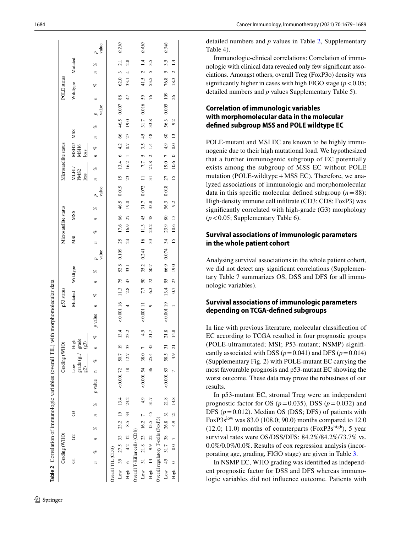|                                    |        | Grading (WHO) |    |        |                         |         |                     | Grading (WHO)    |              |          |           | p53 status |                 |          |          |                 | Microsatellite status |               |      |          |                                   | Microsatellite status |                                                |                            |      |              | <b>POLE</b> status |                |                 |       |
|------------------------------------|--------|---------------|----|--------|-------------------------|---------|---------------------|------------------|--------------|----------|-----------|------------|-----------------|----------|----------|-----------------|-----------------------|---------------|------|----------|-----------------------------------|-----------------------|------------------------------------------------|----------------------------|------|--------------|--------------------|----------------|-----------------|-------|
|                                    |        |               | පි |        | G                       |         | Low                 | grade (g1/ grade | High<br>(63) |          |           | Mutated    |                 | Wildtype |          | МSI             |                       | <b>MSS</b>    |      |          | NLH1.<br>PMS <sub>2</sub><br>loss |                       | MSH <sub>2</sub> /<br>MSH <sub>6</sub><br>loss | <b>MSS</b>                 |      |              | Wildtype           | Mutated        |                 |       |
|                                    | o<br>z |               | P6 |        | $n \approx \frac{a}{b}$ | p value |                     | E                |              | o        | p value   | pe.<br>n   |                 | olo      | value    | z               | P6                    | P6            |      | value    | oz,                               | n                     | P.                                             | z                          | oz,  | z<br>value   | E                  |                | o               | value |
| Overall TIL (CD3)                  |        |               |    |        |                         |         |                     |                  |              |          |           |            |                 |          |          |                 |                       |               |      |          |                                   |                       |                                                |                            |      |              |                    |                |                 |       |
| Low 39 $27.5$ 33 $23.2$ 19 13.4    |        |               |    |        |                         |         | $< 0.00172$ 50.7 19 |                  |              | 13.4     | < 0.00116 |            | 11.3 75         | 52.8     | 0.109    | 25              | 17.6 66               |               | 46.5 | 0.019 19 |                                   | $13.4 \t6 \t4.2$      |                                                | 66                         | 46.5 | 88<br>0.007  |                    | $62.0$ 3 2.1   |                 | 0.230 |
| High 6 4.2 12                      |        |               |    | 8.5 33 |                         | 23.2    |                     | 18 12.7 33       |              | 23.2     |           | 2.8<br>4   | 47              | 33.I     |          | $\overline{24}$ | 16.9                  | 27            | 19.0 |          | 23                                | 16.2                  | 0.7                                            | 27                         | 19.0 | 47           | 33.1               | $\overline{a}$ | 2.8             |       |
| Overall T-Killer cells (CD8)       |        |               |    |        |                         |         |                     |                  |              |          |           |            |                 |          |          |                 |                       |               |      |          |                                   |                       |                                                |                            |      |              |                    |                |                 |       |
| Low 31 $21.8$ $23$ $16.2$ 7        |        |               |    |        |                         | 4.9     | $0.00154$ 38.0 7    |                  |              | $^{4.9}$ | 0.00111   | 7.7        | $\overline{50}$ | 35.2     | 0.241 16 |                 | 11.3                  | 45            | 31.7 | 0.072    | $\equiv$                          | 5<br>7.7              | 35                                             | 45                         | 31.7 | 59<br>0.016  |                    | 41.5 $2$       | $\overline{14}$ | 0.430 |
| High 14 9.9 22 15.5 45             |        |               |    |        |                         | 31.7    | 36 <sup>5</sup>     | 25.4 45          |              | 31.7     |           | 63<br>ó    | 72              | 50.7     |          | 33              | 23.2                  | $\frac{8}{3}$ | 33.8 | 51       |                                   | $\mathbf{c}$<br>21.8  | $\vec{4}$                                      | 48                         | 33.8 | 76           | 53.5               |                | 3.5             |       |
| Overall regulatory T-cells (FoxP3) |        |               |    |        |                         |         |                     |                  |              |          |           |            |                 |          |          |                 |                       |               |      |          |                                   |                       |                                                |                            |      |              |                    |                |                 |       |
| Low 45 31.7 38 $26.8$ 31 21.8      |        |               |    |        |                         |         | $< 0.00183$ 58.5 31 |                  |              | 21.8     | 0.00119   | 13.4       | 95              | 66.9     | 0.074    | 34              | 23.9                  | 80            | 56.3 | 0.018    | 27                                | $19.0$ 7 4.9          |                                                | $\overline{\phantom{0}80}$ | 56.3 | 109<br>0.005 |                    | 76.8 5 3.5     |                 | 0.546 |
| High 0 0.0 7 4.9 21 14.8           |        |               |    |        |                         |         | 74.921              |                  |              | 14.8     |           | 0.7        | 27              | 19.0     |          | $\overline{15}$ | 10.6 13               |               | 9.2  |          | $\overline{15}$                   | $10.6$ 0 0.0 13       |                                                |                            | 9.2  | 26           | 18.3               | $\sim$         | $\overline{14}$ |       |
|                                    |        |               |    |        |                         |         |                     |                  |              |          |           |            |                 |          |          |                 |                       |               |      |          |                                   |                       |                                                |                            |      |              |                    |                |                 |       |

<span id="page-5-0"></span>**Table 2**

Correlation of immunologic variables (overall TIL) with morphomolecular data

detailed numbers and *p* values in Table [2](#page-5-0), Supplementary Table 4).

Immunologic-clinical correlations: Correlation of immu nologic with clinical data revealed only few signifcant asso ciations. Amongst others, overall Treg (FoxP3o) density was significantly higher in cases with high FIGO stage  $(p < 0.05)$ ; detailed numbers and *p* values Supplementary Table 5).

# **Correlation of immunologic variables with morphomolecular data in the molecular defned subgroup MSS and POLE wildtype EC**

POLE-mutant and MSI EC are known to be highly immu nogenic due to their high mutational load. We hypothesized that a further immunogenic subgroup of EC potentially exists among the subgroup of MSS EC without POLE mutation (POLE-wildtype + MSS EC). Therefore, we analyzed associations of immunologic and morphomolecular data in this specific molecular defined subgroup  $(n=88)$ : High-density immune cell infltrate (CD3; CD8; FoxP3) was significantly correlated with high-grade (G3) morphology (*p*<0.05; Supplementary Table 6).

## **Survival associations of immunologic parameters in the whole patient cohort**

Analysing survival associations in the whole patient cohort, we did not detect any signifcant correlations (Supplemen tary Table 7 summarizes OS, DSS and DFS for all immu nologic variables).

## **Survival associations of immunologic parameters depending on TCGA‑defned subgroups**

In line with previous literature, molecular classifcation of EC according to TCGA resulted in four prognostic groups (POLE-ultramutated; MSI; P53-mutant; NSMP) signif cantly associated with DSS ( $p = 0.041$ ) and DFS ( $p = 0.014$ ) (Supplementary Fig. 2) with POLE-mutant EC carrying the most favourable prognosis and p53-mutant EC showing the worst outcome. These data may prove the robustness of our results.

In p53-mutant EC, stromal Treg were an independent prognostic factor for OS ( $p = 0.035$ ), DSS ( $p = 0.032$ ) and DFS  $(p=0.012)$ . Median OS (DSS; DFS) of patients with FoxP3s<sup>low</sup> was 83.0 (108.0; 90.0) months compared to 12.0  $(12.0; 11.0)$  months of counterparts (FoxP3s<sup>high</sup>), 5 year survival rates were OS/DSS/DFS: 84.2%/84.2%/73.7% vs. 0.0%/0.0%/0.0%. Results of cox regression analysis (incor porating age, grading, FIGO stage) are given in Table [3](#page-6-0) .

In NSMP EC, WHO grading was identifed as independ ent prognostic factor for DSS and DFS whereas immuno logic variables did not infuence outcome. Patients with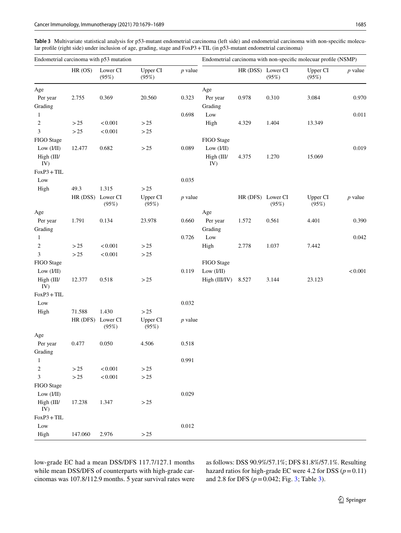<span id="page-6-0"></span>**Table 3** Multivariate statistical analysis for p53-mutant endometrial carcinoma (left side) and endometrial carcinoma with non-specifc molecular profle (right side) under inclusion of age, grading, stage and FoxP3+TIL (in p53-mutant endometrial carcinoma)

|                   |                   | Endometrial carcinoma with p53 mutation |                          |           |                     |                   |       | Endometrial carcinoma with non-specific molecuar profile (NSMP) |           |
|-------------------|-------------------|-----------------------------------------|--------------------------|-----------|---------------------|-------------------|-------|-----------------------------------------------------------------|-----------|
|                   | HR (OS)           | Lower CI<br>(95%)                       | <b>Upper CI</b><br>(95%) | $p$ value |                     | HR (DSS) Lower CI | (95%) | Upper CI<br>(95%)                                               | $p$ value |
| Age               |                   |                                         |                          |           | Age                 |                   |       |                                                                 |           |
| Per year          | 2.755             | 0.369                                   | 20.560                   | 0.323     | Per year            | 0.978             | 0.310 | 3.084                                                           | 0.970     |
| Grading           |                   |                                         |                          |           | Grading             |                   |       |                                                                 |           |
| $\mathbf{1}$      |                   |                                         |                          | 0.698     | Low                 |                   |       |                                                                 | 0.011     |
| $\boldsymbol{2}$  | $>25$             | < 0.001                                 | $>25$                    |           | High                | 4.329             | 1.404 | 13.349                                                          |           |
| 3                 | >25               | < 0.001                                 | $>25$                    |           |                     |                   |       |                                                                 |           |
| FIGO Stage        |                   |                                         |                          |           | FIGO Stage          |                   |       |                                                                 |           |
| Low $(I/II)$      | 12.477            | 0.682                                   | $>25$                    | 0.089     | Low $(I/II)$        |                   |       |                                                                 | 0.019     |
| High (III/<br>IV) |                   |                                         |                          |           | High (III/<br>IV)   | 4.375             | 1.270 | 15.069                                                          |           |
| $FoxP3 + TIL$     |                   |                                         |                          |           |                     |                   |       |                                                                 |           |
| Low               |                   |                                         |                          | 0.035     |                     |                   |       |                                                                 |           |
| High              | 49.3              | 1.315                                   | $>25$                    |           |                     |                   |       |                                                                 |           |
|                   | HR (DSS) Lower CI | (95%)                                   | <b>Upper CI</b><br>(95%) | $p$ value |                     | HR (DFS) Lower CI | (95%) | Upper CI<br>(95%)                                               | $p$ value |
| Age               |                   |                                         |                          |           | Age                 |                   |       |                                                                 |           |
| Per year          | 1.791             | 0.134                                   | 23.978                   | 0.660     | Per year            | 1.572             | 0.561 | 4.401                                                           | 0.390     |
| Grading           |                   |                                         |                          |           | Grading             |                   |       |                                                                 |           |
| $\mathbf{1}$      |                   |                                         |                          | 0.726     | Low                 |                   |       |                                                                 | 0.042     |
| $\overline{c}$    | $>25$             | < 0.001                                 | $>25\,$                  |           | High                | 2.778             | 1.037 | 7.442                                                           |           |
| 3                 | $>25$             | < 0.001                                 | $>25$                    |           |                     |                   |       |                                                                 |           |
| FIGO Stage        |                   |                                         |                          |           | FIGO Stage          |                   |       |                                                                 |           |
| Low (I/II)        |                   |                                         |                          | 0.119     | Low $(I/II)$        |                   |       |                                                                 | < 0.001   |
| High (III/<br>IV) | 12.377            | 0.518                                   | $>25$                    |           | High (III/IV) 8.527 |                   | 3.144 | 23.123                                                          |           |
| $FoxP3 + TIL$     |                   |                                         |                          |           |                     |                   |       |                                                                 |           |
| Low               |                   |                                         |                          | 0.032     |                     |                   |       |                                                                 |           |
| High              | 71.588            | 1.430                                   | $>25$                    |           |                     |                   |       |                                                                 |           |
|                   | HR (DFS)          | Lower CI<br>(95%)                       | Upper CI<br>(95%)        | $p$ value |                     |                   |       |                                                                 |           |
| Age               |                   |                                         |                          |           |                     |                   |       |                                                                 |           |
| Per year          | 0.477             | 0.050                                   | 4.506                    | 0.518     |                     |                   |       |                                                                 |           |
| Grading           |                   |                                         |                          |           |                     |                   |       |                                                                 |           |
| $\mathbf{1}$      |                   |                                         |                          | 0.991     |                     |                   |       |                                                                 |           |
| $\boldsymbol{2}$  | >25               | < 0.001                                 | >25                      |           |                     |                   |       |                                                                 |           |
| 3                 | $>25$             | < 0.001                                 | $>25$                    |           |                     |                   |       |                                                                 |           |
| FIGO Stage        |                   |                                         |                          |           |                     |                   |       |                                                                 |           |
| Low $(I/II)$      |                   |                                         |                          | 0.029     |                     |                   |       |                                                                 |           |
| High (III/<br>IV) | 17.238            | 1.347                                   | $>25$                    |           |                     |                   |       |                                                                 |           |
| $FoxP3 + TIL$     |                   |                                         |                          |           |                     |                   |       |                                                                 |           |
| Low               |                   |                                         |                          | 0.012     |                     |                   |       |                                                                 |           |
| High              | 147.060           | 2.976                                   | $>25$                    |           |                     |                   |       |                                                                 |           |

low-grade EC had a mean DSS/DFS 117.7/127.1 months while mean DSS/DFS of counterparts with high-grade carcinomas was 107.8/112.9 months. 5 year survival rates were as follows: DSS 90.9%/57.1%; DFS 81.8%/57.1%. Resulting hazard ratios for high-grade EC were 4.2 for DSS  $(p=0.11)$ and 2.8 for DFS  $(p=0.042; \text{Fig. 3}; \text{Table 3}).$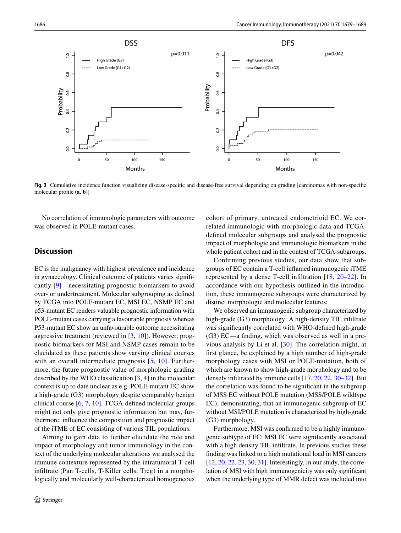

<span id="page-7-0"></span>**Fig. 3** Cumulative incidence function visualizing disease-specifc and disease-free survival depending on grading [carcinomas with non-specifc molecular profle (**a**, **b**)]

No correlation of immunologic parameters with outcome was observed in POLE-mutant cases.

## **Discussion**

EC is the malignancy with highest prevalence and incidence in gynaecology. Clinical outcome of patients varies signifcantly [[9](#page-9-7)]—necessitating prognostic biomarkers to avoid over- or undertreatment. Molecular subgrouping as defned by TCGA into POLE-mutant EC, MSI EC, NSMP EC and p53-mutant EC renders valuable prognostic information with POLE-mutant cases carrying a favourable prognosis whereas P53-mutant EC show an unfavourable outcome necessitating aggressive treatment (reviewed in  $[3, 10]$  $[3, 10]$  $[3, 10]$  $[3, 10]$  $[3, 10]$ ). However, prognostic biomarkers for MSI and NSMP cases remain to be elucidated as these patients show varying clinical courses with an overall intermediate prognosis [[5](#page-9-4), [10](#page-9-8)]. Furthermore, the future prognostic value of morphologic grading described by the WHO classifcation [[3,](#page-9-2) [4](#page-9-3)] in the molecular context is up to date unclear as e.g. POLE-mutant EC show a high-grade (G3) morphology despite comparably benign clinical course [\[6](#page-9-5), [7](#page-9-26), [10\]](#page-9-8). TCGA-defned molecular groups might not only give prognostic information but may, furthermore, infuence the composition and prognostic impact of the iTME of EC consisting of various TIL populations.

Aiming to gain data to further elucidate the role and impact of morphology and tumor immunology in the context of the underlying molecular alterations we analysed the immune contexture represented by the intratumoral T-cell infltrate (Pan T-cells, T-Killer cells, Treg) in a morphologically and molecularly well-characterized homogeneous cohort of primary, untreated endometrioid EC. We correlated immunologic with morphologic data and TCGAdefned molecular subgroups and analysed the prognostic impact of morphologic and immunologic biomarkers in the whole patient cohort and in the context of TCGA-subgroups.

Confrming previous studies, our data show that subgroups of EC contain a T-cell infamed immunogenic iTME represented by a dense T-cell infltration [\[18,](#page-9-16) [20–](#page-9-18)[22](#page-9-27)]. In accordance with our hypothesis outlined in the introduction, these immunogenic subgroups were characterized by distinct morphologic and molecular features:

We observed an immunogenic subgroup characterized by high-grade (G3) morphology: A high-density TIL infiltrate was signifcantly correlated with WHO-defned high-grade (G3) EC—a fnding, which was observed as well in a previous analysis by Li et al. [\[30\]](#page-9-28). The correlation might, at frst glance, be explained by a high number of high-grade morphology cases with MSI or POLE-mutation, both of which are known to show high-grade morphology and to be densely infltrated by immune cells [[17](#page-9-15), [20,](#page-9-18) [22,](#page-9-27) [30](#page-9-28)–[32\]](#page-9-29). But the correlation was found to be signifcant in the subgroup of MSS EC without POLE mutation (MSS/POLE wildtype EC), demonstrating, that an immunogenic subgroup of EC without MSI/POLE mutation is characterized by high-grade (G3) morphology.

Furthermore, MSI was confrmed to be a highly immunogenic subtype of EC: MSI EC were signifcantly associated with a high density TIL infiltrate. In previous studies these fnding was linked to a high mutational load in MSI cancers [\[12](#page-9-10), [20](#page-9-18), [22,](#page-9-27) [23](#page-9-19), [30](#page-9-28), [31\]](#page-9-30). Interestingly, in our study, the correlation of MSI with high immunogenicity was only signifcant when the underlying type of MMR defect was included into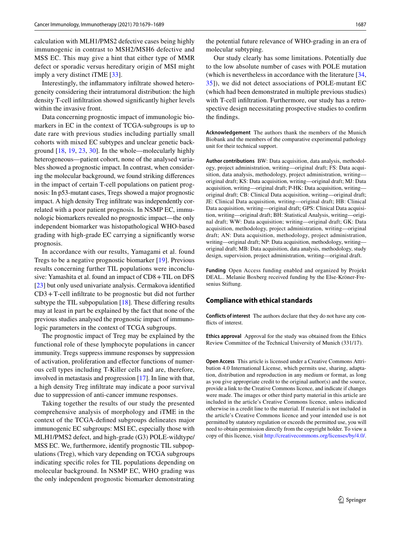calculation with MLH1/PMS2 defective cases being highly immunogenic in contrast to MSH2/MSH6 defective and MSS EC. This may give a hint that either type of MMR defect or sporadic versus hereditary origin of MSI might imply a very distinct iTME [[33](#page-9-31)].

Interestingly, the infammatory infltrate showed heterogeneity considering their intratumoral distribution: the high density T-cell infltration showed signifcantly higher levels within the invasive front.

Data concerning prognostic impact of immunologic biomarkers in EC in the context of TCGA-subgroups is up to date rare with previous studies including partially small cohorts with mixed EC subtypes and unclear genetic background [[18](#page-9-16), [19,](#page-9-17) [23](#page-9-19), [30](#page-9-28)]. In the whole—molecularly highly heterogeneous—patient cohort, none of the analysed variables showed a prognostic impact. In contrast, when considering the molecular background, we found striking diferences in the impact of certain T-cell populations on patient prognosis: In p53-mutant cases, Tregs showed a major prognostic impact. A high density Treg infltrate was independently correlated with a poor patient prognosis. In NSMP EC, immunologic biomarkers revealed no prognostic impact—the only independent biomarker was histopathological WHO-based grading with high-grade EC carrying a signifcantly worse prognosis.

In accordance with our results, Yamagami et al. found Tregs to be a negative prognostic biomarker [\[19](#page-9-17)]. Previous results concerning further TIL populations were inconclusive: Yamashita et al. found an impact of CD8+TIL on DFS [\[23](#page-9-19)] but only used univariate analysis. Cermakova identified CD3+T-cell infltrate to be prognostic but did not further subtype the TIL subpopulation [[18\]](#page-9-16). These differing results may at least in part be explained by the fact that none of the previous studies analysed the prognostic impact of immunologic parameters in the context of TCGA subgroups.

The prognostic impact of Treg may be explained by the functional role of these lymphocyte populations in cancer immunity. Tregs suppress immune responses by suppression of activation, proliferation and efector functions of numerous cell types including T-Killer cells and are, therefore, involved in metastasis and progression [[17\]](#page-9-15). In line with that, a high density Treg infltrate may indicate a poor survival due to suppression of anti-cancer immune responses.

Taking together the results of our study the presented comprehensive analysis of morphology and iTME in the context of the TCGA-defned subgroups delineates major immunogenic EC subgroups: MSI EC, especially those with MLH1/PMS2 defect, and high-grade (G3) POLE-wildtype/ MSS EC. We, furthermore, identify prognostic TIL subpopulations (Treg), which vary depending on TCGA subgroups indicating specifc roles for TIL populations depending on molecular background. In NSMP EC, WHO grading was the only independent prognostic biomarker demonstrating

the potential future relevance of WHO-grading in an era of molecular subtyping.

Our study clearly has some limitations. Potentially due to the low absolute number of cases with POLE mutation (which is nevertheless in accordance with the literature [[34,](#page-9-32) [35](#page-10-0)]), we did not detect associations of POLE-mutant EC (which had been demonstrated in multiple previous studies) with T-cell infltration. Furthermore, our study has a retrospective design necessitating prospective studies to confrm the fndings.

**Acknowledgement** The authors thank the members of the Munich Biobank and the members of the comparative experimental pathology unit for their technical support.

**Author contributions** BW: Data acquisition, data analysis, methodology, project administration, writing—original draft; FS: Data acquisition, data analysis, methodology, project administration, writing original draft; KS: Data acquisition, writing—original draft; MJ: Data acquisition, writing—original draft; P-HK: Data acquisition, writing original draft; CB: Clinical Data acquisition, writing—original draft; JE: Clinical Data acquisition, writing—original draft; HB: Clinical Data acquisition, writing—original draft; GPS: Clinical Data acquisition, writing—original draft; BH: Statistical Analysis, writing—original draft; WW: Data acquisition; writing—original draft; GK: Data acquisition, methodology, project administration, writing—original draft; AN: Data acquisition, methodology, project administration, writing—original draft; NP: Data acquisition, methodology, writing original draft; MB: Data acquisition, data analysis, methodology, study design, supervision, project administration, writing—original draft.

**Funding** Open Access funding enabled and organized by Projekt DEAL.. Melanie Boxberg received funding by the Else-Kröner-Fresenius Stiftung.

#### **Compliance with ethical standards**

**Conflicts of interest** The authors declare that they do not have any conflicts of interest.

**Ethics approval** Approval for the study was obtained from the Ethics Review Committee of the Technical University of Munich (331/17).

**Open Access** This article is licensed under a Creative Commons Attribution 4.0 International License, which permits use, sharing, adaptation, distribution and reproduction in any medium or format, as long as you give appropriate credit to the original author(s) and the source, provide a link to the Creative Commons licence, and indicate if changes were made. The images or other third party material in this article are included in the article's Creative Commons licence, unless indicated otherwise in a credit line to the material. If material is not included in the article's Creative Commons licence and your intended use is not permitted by statutory regulation or exceeds the permitted use, you will need to obtain permission directly from the copyright holder. To view a copy of this licence, visit<http://creativecommons.org/licenses/by/4.0/>.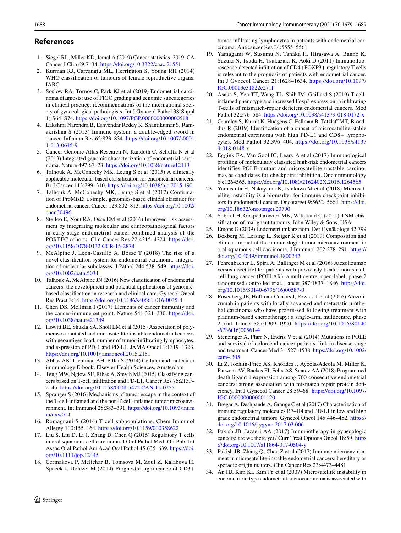## **References**

- <span id="page-9-0"></span>1. Siegel RL, Miller KD, Jemal A (2019) Cancer statistics, 2019. CA Cancer J Clin 69:7–34.<https://doi.org/10.3322/caac.21551>
- <span id="page-9-1"></span>2. Kurman RJ, Carcangiu ML, Herrington S, Young RH (2014) WHO classifcation of tumours of female reproductive organs. IARC
- <span id="page-9-2"></span>3. Soslow RA, Tornos C, Park KJ et al (2019) Endometrial carcinoma diagnosis: use of FIGO grading and genomic subcategories in clinical practice: recommendations of the international society of gynecological pathologists. Int J Gynecol Pathol 38(Suppl 1):S64–S74. <https://doi.org/10.1097/PGP.0000000000000518>
- <span id="page-9-3"></span>4. Lakshmi Narendra B, Eshvendar Reddy K, Shantikumar S, Ramakrishna S (2013) Immune system: a double-edged sword in cancer. Infamm Res 62:823–834. [https://doi.org/10.1007/s0001](https://doi.org/10.1007/s00011-013-0645-9) [1-013-0645-9](https://doi.org/10.1007/s00011-013-0645-9)
- <span id="page-9-4"></span>5. Cancer Genome Atlas Research N, Kandoth C, Schultz N et al (2013) Integrated genomic characterization of endometrial carcinoma. Nature 497:67–73. <https://doi.org/10.1038/nature12113>
- <span id="page-9-5"></span>6. Talhouk A, McConechy MK, Leung S et al (2015) A clinically applicable molecular-based classifcation for endometrial cancers. Br J Cancer 113:299–310. <https://doi.org/10.1038/bjc.2015.190>
- <span id="page-9-26"></span>7. Talhouk A, McConechy MK, Leung S et al (2017) Confrmation of ProMisE: a simple, genomics-based clinical classifer for endometrial cancer. Cancer 123:802–813. [https://doi.org/10.1002/](https://doi.org/10.1002/cncr.30496) [cncr.30496](https://doi.org/10.1002/cncr.30496)
- <span id="page-9-6"></span>8. Stelloo E, Nout RA, Osse EM et al (2016) Improved risk assessment by integrating molecular and clinicopathological factors in early-stage endometrial cancer-combined analysis of the PORTEC cohorts. Clin Cancer Res 22:4215–4224. [https://doi.](https://doi.org/10.1158/1078-0432.CCR-15-2878) [org/10.1158/1078-0432.CCR-15-2878](https://doi.org/10.1158/1078-0432.CCR-15-2878)
- <span id="page-9-7"></span>9. McAlpine J, Leon-Castillo A, Bosse T (2018) The rise of a novel classifcation system for endometrial carcinoma; integration of molecular subclasses. J Pathol 244:538–549. [https://doi.](https://doi.org/10.1002/path.5034) [org/10.1002/path.5034](https://doi.org/10.1002/path.5034)
- <span id="page-9-8"></span>10. Talhouk A, McAlpine JN (2016) New classifcation of endometrial cancers: the development and potential applications of genomicbased classifcation in research and clinical care. Gynecol Oncol Res Pract 3:14.<https://doi.org/10.1186/s40661-016-0035-4>
- <span id="page-9-9"></span>11. Chen DS, Mellman I (2017) Elements of cancer immunity and the cancer-immune set point. Nature 541:321–330. [https://doi.](https://doi.org/10.1038/nature21349) [org/10.1038/nature21349](https://doi.org/10.1038/nature21349)
- <span id="page-9-10"></span>12. Howitt BE, Shukla SA, Sholl LM et al (2015) Association of polymerase e-mutated and microsatellite-instable endometrial cancers with neoantigen load, number of tumor-infltrating lymphocytes, and expression of PD-1 and PD-L1. JAMA Oncol 1:1319–1323. <https://doi.org/10.1001/jamaoncol.2015.2151>
- <span id="page-9-11"></span>13. Abbas AK, Lichtman AH, Pillai S (2014) Cellular and molecular immunology E-book. Elsevier Health Sciences, Amsterdam
- <span id="page-9-12"></span>14. Teng MW, Ngiow SF, Ribas A, Smyth MJ (2015) Classifying cancers based on T-cell infltration and PD-L1. Cancer Res 75:2139– 2145.<https://doi.org/10.1158/0008-5472.CAN-15-0255>
- <span id="page-9-13"></span>15. Spranger S (2016) Mechanisms of tumor escape in the context of the T-cell-infamed and the non-T-cell-infamed tumor microenvironment. Int Immunol 28:383–391. [https://doi.org/10.1093/intim](https://doi.org/10.1093/intimm/dxw014) [m/dxw014](https://doi.org/10.1093/intimm/dxw014)
- <span id="page-9-14"></span>16. Romagnani S (2014) T cell subpopulations. Chem Immunol Allergy 100:155–164. <https://doi.org/10.1159/000358622>
- <span id="page-9-15"></span>17. Liu S, Liu D, Li J, Zhang D, Chen Q (2016) Regulatory T cells in oral squamous cell carcinoma. J Oral Pathol Med: Off Publ Int Assoc Oral Pathol Am Acad Oral Pathol 45:635–639. [https://doi.](https://doi.org/10.1111/jop.12445) [org/10.1111/jop.12445](https://doi.org/10.1111/jop.12445)
- <span id="page-9-16"></span>18. Cermakova P, Melichar B, Tomsova M, Zoul Z, Kalabova H, Spacek J, Dolezel M (2014) Prognostic signifcance of CD3+

tumor-infltrating lymphocytes in patients with endometrial carcinoma. Anticancer Res 34:5555-5561

- <span id="page-9-17"></span>19. Yamagami W, Susumu N, Tanaka H, Hirasawa A, Banno K, Suzuki N, Tsuda H, Tsukazaki K, Aoki D (2011) Immunofuorescence-detected infltration of CD4+FOXP3+ regulatory T cells is relevant to the prognosis of patients with endometrial cancer. Int J Gynecol Cancer 21:1628–1634. [https://doi.org/10.1097/](https://doi.org/10.1097/IGC.0b013e31822c271f) [IGC.0b013e31822c271f](https://doi.org/10.1097/IGC.0b013e31822c271f)
- <span id="page-9-18"></span>20. Asaka S, Yen TT, Wang TL, Shih IM, Gaillard S (2019) T cellinfamed phenotype and increased Foxp3 expression in infltrating T-cells of mismatch-repair defcient endometrial cancers. Mod Pathol 32:576–584.<https://doi.org/10.1038/s41379-018-0172-x>
- 21. Crumley S, Kurnit K, Hudgens C, Fellman B, Tetzlaff MT, Broaddus R (2019) Identifcation of a subset of microsatellite-stable endometrial carcinoma with high PD-L1 and CD8+ lymphocytes. Mod Pathol 32:396–404. [https://doi.org/10.1038/s4137](https://doi.org/10.1038/s41379-018-0148-x) [9-018-0148-x](https://doi.org/10.1038/s41379-018-0148-x)
- <span id="page-9-27"></span>22. Eggink FA, Van Gool IC, Leary A et al (2017) Immunological profling of molecularly classifed high-risk endometrial cancers identifies POLE-mutant and microsatellite unstable carcinomas as candidates for checkpoint inhibition. Oncoimmunology 6:e1264565.<https://doi.org/10.1080/2162402X.2016.1264565>
- <span id="page-9-19"></span>23. Yamashita H, Nakayama K, Ishikawa M et al (2018) Microsatellite instability is a biomarker for immune checkpoint inhibitors in endometrial cancer. Oncotarget 9:5652–5664. [https://doi.](https://doi.org/10.18632/oncotarget.23790) [org/10.18632/oncotarget.23790](https://doi.org/10.18632/oncotarget.23790)
- <span id="page-9-20"></span>24. Sobin LH, Gospodarowicz MK, Wittekind C (2011) TNM classifcation of malignant tumours. John Wiley & Sons, USA
- <span id="page-9-21"></span>25. Emons G (2009) Endometriumkarzinom. Der Gynäkologe 42:799
- <span id="page-9-22"></span>26. Boxberg M, Leising L, Steiger K et al (2019) Composition and clinical impact of the immunologic tumor microenvironment in oral squamous cell carcinoma. J Immunol 202:278–291. [https://](https://doi.org/10.4049/jimmunol.1800242) [doi.org/10.4049/jimmunol.1800242](https://doi.org/10.4049/jimmunol.1800242)
- <span id="page-9-23"></span>27. Fehrenbacher L, Spira A, Ballinger M et al (2016) Atezolizumab versus docetaxel for patients with previously treated non-smallcell lung cancer (POPLAR): a multicentre, open-label, phase 2 randomised controlled trial. Lancet 387:1837–1846. [https://doi.](https://doi.org/10.1016/S0140-6736(16)00587-0) [org/10.1016/S0140-6736\(16\)00587-0](https://doi.org/10.1016/S0140-6736(16)00587-0)
- <span id="page-9-24"></span>28. Rosenberg JE, Hofman-Censits J, Powles T et al (2016) Atezolizumab in patients with locally advanced and metastatic urothelial carcinoma who have progressed following treatment with platinum-based chemotherapy: a single-arm, multicentre, phase 2 trial. Lancet 387:1909–1920. [https://doi.org/10.1016/S0140](https://doi.org/10.1016/S0140-6736(16)00561-4) [-6736\(16\)00561-4](https://doi.org/10.1016/S0140-6736(16)00561-4)
- <span id="page-9-25"></span>29. Stenzinger A, Pfarr N, Endris V et al (2014) Mutations in POLE and survival of colorectal cancer patients–link to disease stage and treatment. Cancer Med 3:1527–1538. [https://doi.org/10.1002/](https://doi.org/10.1002/cam4.305) [cam4.305](https://doi.org/10.1002/cam4.305)
- <span id="page-9-28"></span>30. Li Z, Joehlin-Price AS, Rhoades J, Ayoola-Adeola M, Miller K, Parwani AV, Backes FJ, Felix AS, Suarez AA (2018) Programmed death ligand 1 expression among 700 consecutive endometrial cancers: strong association with mismatch repair protein defciency. Int J Gynecol Cancer 28:59–68. [https://doi.org/10.1097/](https://doi.org/10.1097/IGC.0000000000001120) [IGC.0000000000001120](https://doi.org/10.1097/IGC.0000000000001120)
- <span id="page-9-30"></span>31. Bregar A, Deshpande A, Grange C et al (2017) Characterization of immune regulatory molecules B7–H4 and PD-L1 in low and high grade endometrial tumors. Gynecol Oncol 145:446–452. [https://](https://doi.org/10.1016/j.ygyno.2017.03.006) [doi.org/10.1016/j.ygyno.2017.03.006](https://doi.org/10.1016/j.ygyno.2017.03.006)
- <span id="page-9-29"></span>32. Pakish JB, Jazaeri AA (2017) Immunotherapy in gynecologic cancers: are we there yet? Curr Treat Options Oncol 18:59. [https](https://doi.org/10.1007/s11864-017-0504-y) [://doi.org/10.1007/s11864-017-0504-y](https://doi.org/10.1007/s11864-017-0504-y)
- <span id="page-9-31"></span>33. Pakish JB, Zhang Q, Chen Z et al (2017) Immune microenvironment in microsatellite-instable endometrial cancers: hereditary or sporadic origin matters. Clin Cancer Res 23:4473–4481
- <span id="page-9-32"></span>34. An HJ, Kim KI, Kim JY et al (2007) Microsatellite instability in endometrioid type endometrial adenocarcinoma is associated with